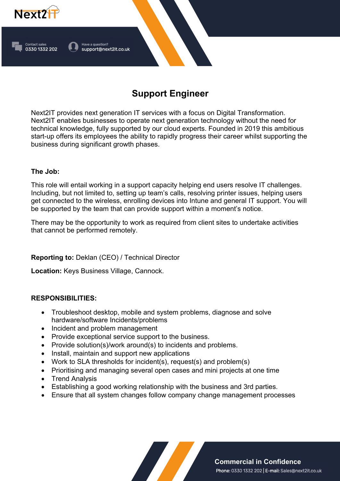

# **Support Engineer**

Next2IT provides next generation IT services with a focus on Digital Transformation. Next2IT enables businesses to operate next generation technology without the need for technical knowledge, fully supported by our cloud experts. Founded in 2019 this ambitious start-up offers its employees the ability to rapidly progress their career whilst supporting the business during significant growth phases.

## **The Job:**

This role will entail working in a support capacity helping end users resolve IT challenges. Including, but not limited to, setting up team's calls, resolving printer issues, helping users get connected to the wireless, enrolling devices into Intune and general IT support. You will be supported by the team that can provide support within a moment's notice.

There may be the opportunity to work as required from client sites to undertake activities that cannot be performed remotely.

**Reporting to:** Deklan (CEO) / Technical Director

**Location:** Keys Business Village, Cannock.

## **RESPONSIBILITIES:**

- Troubleshoot desktop, mobile and system problems, diagnose and solve hardware/software Incidents/problems
- Incident and problem management
- Provide exceptional service support to the business.
- Provide solution(s)/work around(s) to incidents and problems.
- Install, maintain and support new applications
- Work to SLA thresholds for incident(s), request(s) and problem(s)
- Prioritising and managing several open cases and mini projects at one time
- Trend Analysis
- Establishing a good working relationship with the business and 3rd parties.
- Ensure that all system changes follow company change management processes

**Commercial in Confidence** Phone: 0330 1332 202 | E-mail: Sales@next2it.co.uk